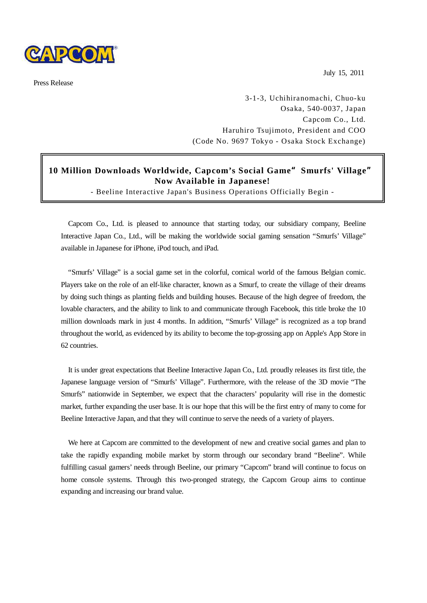

Press Release

July 15, 2011

3-1-3, Uchihiranomachi, Chuo-ku Osaka, 540-0037, Japan Capcom Co., Ltd. Haruhiro Tsujimoto, President and COO (Code No. 9697 Tokyo - Osaka Stock Exchange)

## **10 Million Downloads Worldwide, Capcom's Social Game**"**Smurfs' Village**" **Now Available in Japanese!**

- Beeline Interactive Japan's Business Operations Officially Begin -

Capcom Co., Ltd. is pleased to announce that starting today, our subsidiary company, Beeline Interactive Japan Co., Ltd., will be making the worldwide social gaming sensation "Smurfs' Village" available in Japanese for iPhone, iPod touch, and iPad.

"Smurfs' Village" is a social game set in the colorful, comical world of the famous Belgian comic. Players take on the role of an elf-like character, known as a Smurf, to create the village of their dreams by doing such things as planting fields and building houses. Because of the high degree of freedom, the lovable characters, and the ability to link to and communicate through Facebook, this title broke the 10 million downloads mark in just 4 months. In addition, "Smurfs' Village" is recognized as a top brand throughout the world, as evidenced by its ability to become the top-grossing app on Apple's App Store in 62 countries.

It is under great expectations that Beeline Interactive Japan Co., Ltd. proudly releases its first title, the Japanese language version of "Smurfs' Village". Furthermore, with the release of the 3D movie "The Smurfs" nationwide in September, we expect that the characters' popularity will rise in the domestic market, further expanding the user base. It is our hope that this will be the first entry of many to come for Beeline Interactive Japan, and that they will continue to serve the needs of a variety of players.

We here at Capcom are committed to the development of new and creative social games and plan to take the rapidly expanding mobile market by storm through our secondary brand "Beeline". While fulfilling casual gamers' needs through Beeline, our primary "Capcom" brand will continue to focus on home console systems. Through this two-pronged strategy, the Capcom Group aims to continue expanding and increasing our brand value.